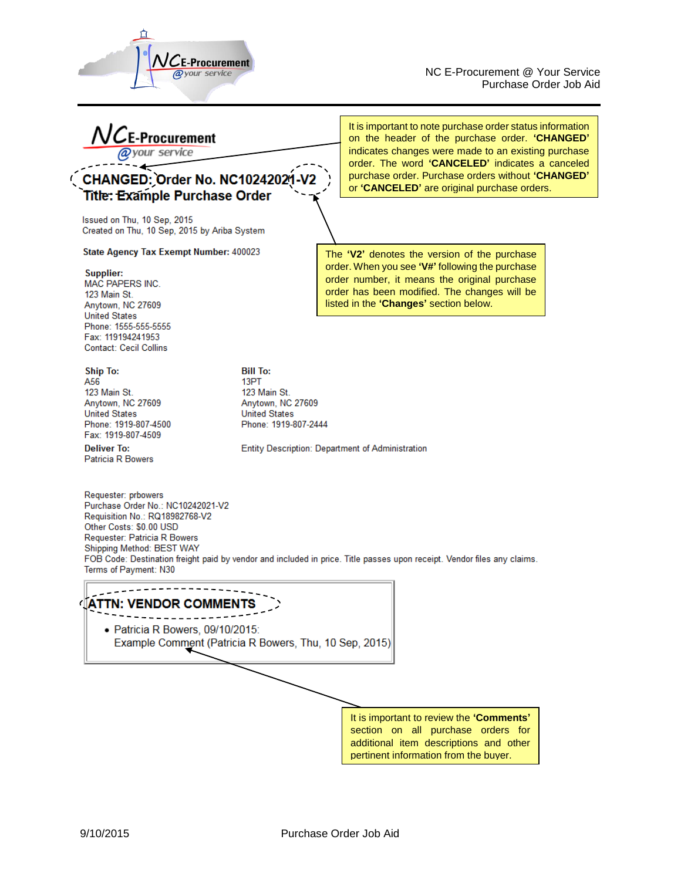

NC E-Procurement @ Your Service Purchase Order Job Aid

 $\mathsf{\Sigma}$ E-Procurement service

# **CHANGED: Order No. NC10242021-V2 Title: Example Purchase Order**

Issued on Thu, 10 Sep, 2015 Created on Thu, 10 Sep, 2015 by Ariba System

### State Agency Tax Exempt Number: 400023

#### Supplier:

MAC PAPERS INC. 123 Main St. Anytown, NC 27609 **United States** Phone: 1555-555-5555 Fax: 119194241953 **Contact: Cecil Collins** 

**Ship To:** A56 123 Main St. Anytown, NC 27609 **United States** Phone: 1919-807-4500 Fax: 1919-807-4509

**Deliver To:** Patricia R Bowers It is important to note purchase order status information on the header of the purchase order. **'CHANGED'**  indicates changes were made to an existing purchase order. The word **'CANCELED'** indicates a canceled purchase order. Purchase orders without **'CHANGED'** or **'CANCELED'** are original purchase orders.

The **'V2'** denotes the version of the purchase order. When you see **'V#'** following the purchase order number, it means the original purchase order has been modified. The changes will be listed in the **'Changes'** section below.

**Bill To:** 13PT 123 Main St. Anytown, NC 27609 **United States** Phone: 1919-807-2444

Entity Description: Department of Administration

Requester: prbowers Purchase Order No.: NC10242021-V2 Requisition No.: RQ18982768-V2 Other Costs: \$0.00 USD Requester: Patricia R Bowers Shipping Method: BEST WAY FOB Code: Destination freight paid by vendor and included in price. Title passes upon receipt. Vendor files any claims. Terms of Payment: N30

**IATTN: VENDOR COMMENTS** \_\_\_\_\_\_\_\_\_\_ · Patricia R Bowers, 09/10/2015: Example Comment (Patricia R Bowers, Thu, 10 Sep, 2015) It is important to review the **'Comments'** section on all purchase orders for additional item descriptions and other pertinent information from the buyer.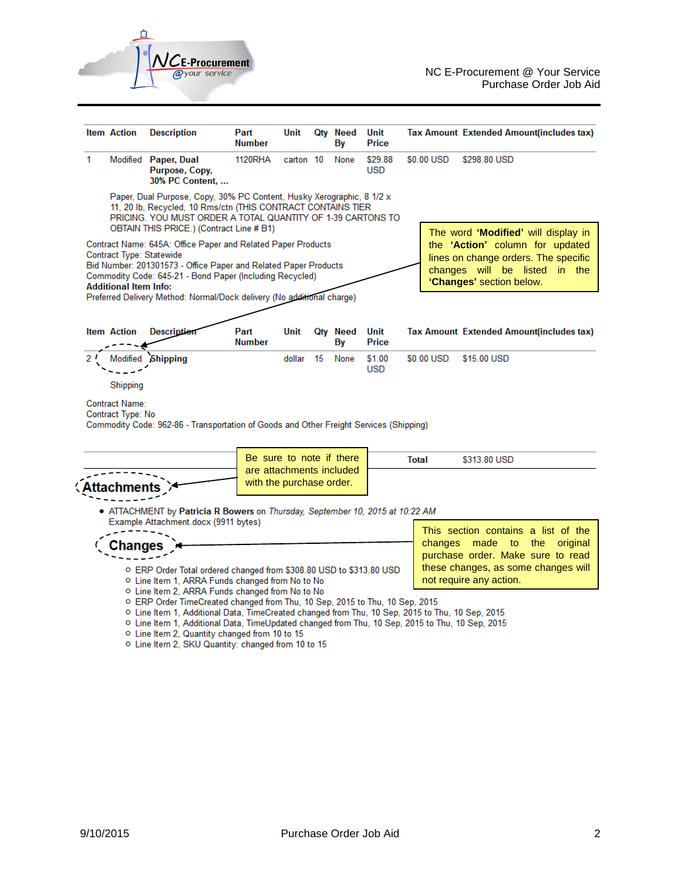

|    | <b>Item Action</b>                                                                                                                                                                                                                               | <b>Description</b>                                                                                                                                                              | Part<br><b>Number</b>    | Unit                                                                                                                            |    | Qty Need<br>By | Unit<br>Price                                                                                                  | <b>Tax Amount Extended Amount(includes tax)</b>                                                                                                                                                    |
|----|--------------------------------------------------------------------------------------------------------------------------------------------------------------------------------------------------------------------------------------------------|---------------------------------------------------------------------------------------------------------------------------------------------------------------------------------|--------------------------|---------------------------------------------------------------------------------------------------------------------------------|----|----------------|----------------------------------------------------------------------------------------------------------------|----------------------------------------------------------------------------------------------------------------------------------------------------------------------------------------------------|
| 1  |                                                                                                                                                                                                                                                  | Modified Paper, Dual<br>Purpose, Copy,<br>30% PC Content,                                                                                                                       | <b>1120RHA</b>           | carton 10                                                                                                                       |    | None           | \$29.88<br><b>USD</b>                                                                                          | \$0.00 USD<br>\$298.80 USD                                                                                                                                                                         |
|    | Paper, Dual Purpose, Copy, 30% PC Content, Husky Xerographic, 8 1/2 x<br>11, 20 lb, Recycled, 10 Rms/ctn (THIS CONTRACT CONTAINS TIER<br>PRICING. YOU MUST ORDER A TOTAL QUANTITY OF 1-39 CARTONS TO<br>OBTAIN THIS PRICE.) (Contract Line # B1) |                                                                                                                                                                                 |                          |                                                                                                                                 |    |                | The word 'Modified' will display in                                                                            |                                                                                                                                                                                                    |
|    | Contract Type: Statewide<br><b>Additional Item Info:</b>                                                                                                                                                                                         | Commodity Code: 645-21 - Bond Paper (Including Recycled)                                                                                                                        |                          | Contract Name: 645A: Office Paper and Related Paper Products<br>Bid Number: 201301573 - Office Paper and Related Paper Products |    |                |                                                                                                                | the 'Action' column for updated<br>lines on change orders. The specific<br>changes will be listed in the<br>'Changes' section below.                                                               |
|    |                                                                                                                                                                                                                                                  | Preferred Delivery Method: Normal/Dock delivery (No additional charge)                                                                                                          |                          |                                                                                                                                 |    |                |                                                                                                                |                                                                                                                                                                                                    |
|    | <b>Item Action</b>                                                                                                                                                                                                                               | <b>Description</b>                                                                                                                                                              | Part<br>Number           | Unit                                                                                                                            |    | Qty Need<br>By | Unit<br>Price                                                                                                  | <b>Tax Amount Extended Amount(includes tax)</b>                                                                                                                                                    |
| 2' | Modified                                                                                                                                                                                                                                         | <b>Shipping</b>                                                                                                                                                                 |                          | dollar                                                                                                                          | 15 | None           | \$1.00<br><b>USD</b>                                                                                           | \$0.00 USD<br>\$15.00 USD                                                                                                                                                                          |
|    | Shipping<br><b>Contract Name:</b><br>Contract Type: No                                                                                                                                                                                           |                                                                                                                                                                                 |                          |                                                                                                                                 |    |                |                                                                                                                |                                                                                                                                                                                                    |
|    |                                                                                                                                                                                                                                                  | Commodity Code: 962-86 - Transportation of Goods and Other Freight Services (Shipping)                                                                                          |                          |                                                                                                                                 |    |                |                                                                                                                |                                                                                                                                                                                                    |
|    |                                                                                                                                                                                                                                                  |                                                                                                                                                                                 | Be sure to note if there |                                                                                                                                 |    |                |                                                                                                                | <b>Total</b><br>\$313.80 USD                                                                                                                                                                       |
|    | are attachments included<br>with the purchase order.                                                                                                                                                                                             |                                                                                                                                                                                 |                          |                                                                                                                                 |    |                |                                                                                                                |                                                                                                                                                                                                    |
|    |                                                                                                                                                                                                                                                  | • ATTACHMENT by Patricia R Bowers on Thursday, September 10, 2015 at 10:22 AM                                                                                                   |                          |                                                                                                                                 |    |                |                                                                                                                |                                                                                                                                                                                                    |
|    | Example Attachment.docx (9911 bytes)<br>nange:                                                                                                                                                                                                   |                                                                                                                                                                                 |                          |                                                                                                                                 |    |                | This section contains a list of the<br>changes<br>made to the<br>original<br>purchase order. Make sure to read |                                                                                                                                                                                                    |
|    | ○ ERP Order Total ordered changed from \$308.80 USD to \$313.80 USD<br>O Line Item 1, ARRA Funds changed from No to No                                                                                                                           |                                                                                                                                                                                 |                          |                                                                                                                                 |    |                | these changes, as some changes will<br>not require any action.                                                 |                                                                                                                                                                                                    |
|    |                                                                                                                                                                                                                                                  | ○ Line Item 2, ARRA Funds changed from No to No<br>o ERP Order TimeCreated changed from Thu, 10 Sep, 2015 to Thu, 10 Sep, 2015<br>o Line Item 2, Quantity changed from 10 to 15 |                          |                                                                                                                                 |    |                |                                                                                                                | o Line Item 1, Additional Data, TimeCreated changed from Thu, 10 Sep, 2015 to Thu, 10 Sep, 2015<br>○ Line Item 1, Additional Data, TimeUpdated changed from Thu, 10 Sep, 2015 to Thu, 10 Sep, 2015 |

o Line Item 2, SKU Quantity: changed from 10 to 15